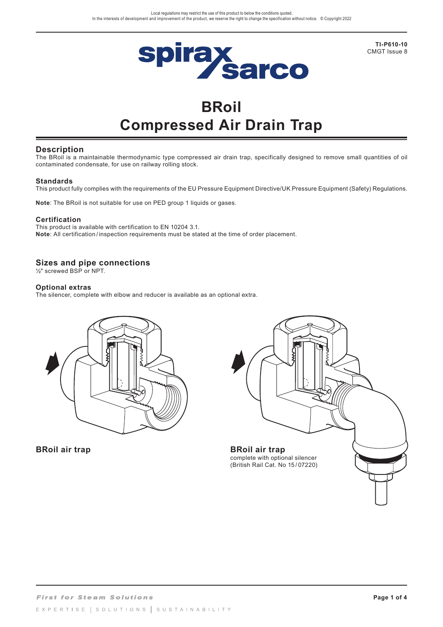

**TI-P610-10** CMGT Issue 8

# **BRoil Compressed Air Drain Trap**

### **Description**

The BRoil is a maintainable thermodynamic type compressed air drain trap, specifically designed to remove small quantities of oil contaminated condensate, for use on railway rolling stock.

### **Standards**

This product fully complies with the requirements of the EU Pressure Equipment Directive/UK Pressure Equipment (Safety) Regulations.

**Note**: The BRoil is not suitable for use on PED group 1 liquids or gases.

### **Certification**

This product is available with certification to EN 10204 3.1. **Note**: All certification / inspection requirements must be stated at the time of order placement.

### **Sizes and pipe connections**

½" screwed BSP or NPT.

### **Optional extras**

The silencer, complete with elbow and reducer is available as an optional extra.



**BRoil air trap**

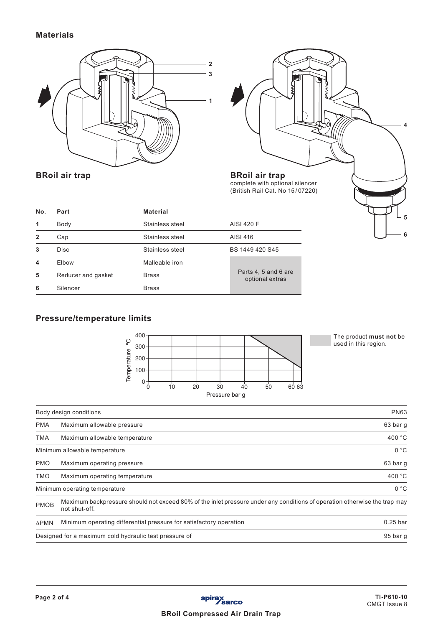# **Materials**





**BRoil air trap**

| No.          | Part               | <b>Material</b> |                                         |
|--------------|--------------------|-----------------|-----------------------------------------|
|              | Body               | Stainless steel | AISI 420 F                              |
| $\mathbf{2}$ | Cap                | Stainless steel | AISI 416                                |
| 3            | <b>Disc</b>        | Stainless steel | BS 1449 420 S45                         |
|              | Elbow              | Malleable iron  |                                         |
| 5            | Reducer and gasket | <b>Brass</b>    | Parts 4, 5 and 6 are<br>optional extras |
| 6            | Silencer           | <b>Brass</b>    |                                         |

## **Pressure/temperature limits**



The product **must not** be used in this region.

|              | $\circ$<br>used in this region.<br>$300 -$<br>Temperature<br>200<br>$100 -$<br>$0^{\cdot}$<br>10<br>20<br>30<br>40<br>50<br>60 63<br>$\Omega$<br>Pressure bar g |                  |  |  |
|--------------|-----------------------------------------------------------------------------------------------------------------------------------------------------------------|------------------|--|--|
|              | Body design conditions                                                                                                                                          | <b>PN63</b>      |  |  |
| <b>PMA</b>   | Maximum allowable pressure                                                                                                                                      | 63 bar g         |  |  |
| <b>TMA</b>   | 400 °C<br>Maximum allowable temperature                                                                                                                         |                  |  |  |
|              | Minimum allowable temperature                                                                                                                                   | 0 °C             |  |  |
| <b>PMO</b>   | Maximum operating pressure                                                                                                                                      | 63 bar g         |  |  |
| <b>OMT</b>   | Maximum operating temperature                                                                                                                                   | 400 $^{\circ}$ C |  |  |
|              | Minimum operating temperature                                                                                                                                   | 0 °C             |  |  |
| <b>PMOB</b>  | Maximum backpressure should not exceed 80% of the inlet pressure under any conditions of operation otherwise the trap may<br>not shut-off.                      |                  |  |  |
| $\Delta$ PMN | Minimum operating differential pressure for satisfactory operation                                                                                              | $0.25$ bar       |  |  |
|              | Designed for a maximum cold hydraulic test pressure of                                                                                                          | 95 bar g         |  |  |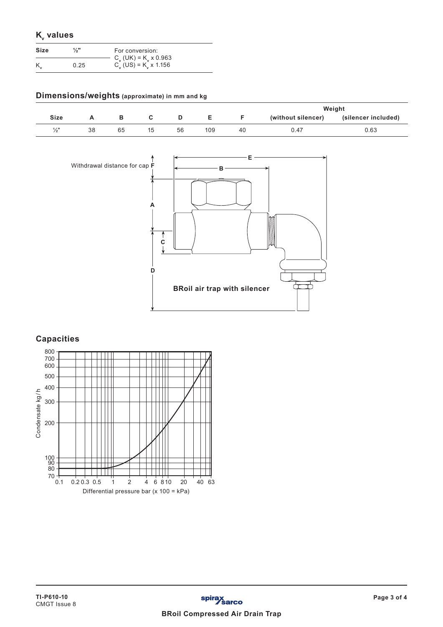| $K_{v}$ values |      |                 |
|----------------|------|-----------------|
| Size           | 1/3" | For conversion: |

| $C_{y}$ (UK) = K <sub>y</sub> x 0.963<br>$C_y$ (US) = K <sub>y</sub> x 1.156<br>0.25 | OILE | FOI CONVERSION. |
|--------------------------------------------------------------------------------------|------|-----------------|
|                                                                                      |      |                 |
|                                                                                      |      |                 |

# **Dimensions/weights (approximate) in mm and kg**

|                 |    |    |    |    |     |    |                    | Weight              |
|-----------------|----|----|----|----|-----|----|--------------------|---------------------|
| <b>Size</b>     |    | в  |    |    |     |    | (without silencer) | (silencer included) |
| $\frac{1}{2}$ " | 38 | 65 | 15 | 56 | 109 | 40 | J.47               | 0.63                |



# **Capacities**